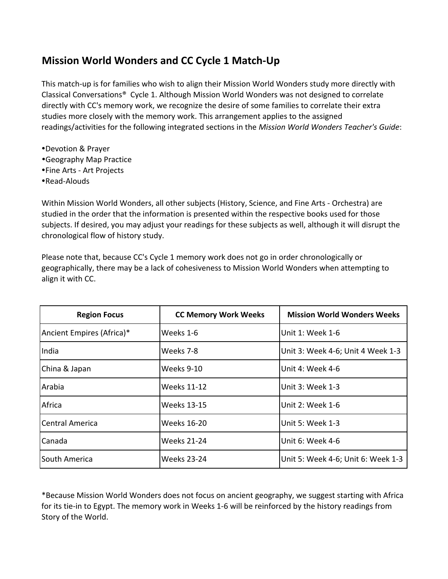## **Mission World Wonders and CC Cycle 1 Match-Up**

This match-up is for families who wish to align their Mission World Wonders study more directly with Classical Conversations® Cycle 1. Although Mission World Wonders was not designed to correlate directly with CC's memory work, we recognize the desire of some families to correlate their extra studies more closely with the memory work. This arrangement applies to the assigned readings/activities for the following integrated sections in the *Mission World Wonders Teacher's Guide*:

- **.**Devotion & Prayer
- **•Geography Map Practice**
- . Fine Arts Art Projects
- •Read-Alouds

Within Mission World Wonders, all other subjects (History, Science, and Fine Arts - Orchestra) are studied in the order that the information is presented within the respective books used for those subjects. If desired, you may adjust your readings for these subjects as well, although it will disrupt the chronological flow of history study.

Please note that, because CC's Cycle 1 memory work does not go in order chronologically or geographically, there may be a lack of cohesiveness to Mission World Wonders when attempting to align it with CC.

| <b>Region Focus</b>       | <b>CC Memory Work Weeks</b> | <b>Mission World Wonders Weeks</b> |
|---------------------------|-----------------------------|------------------------------------|
| Ancient Empires (Africa)* | Weeks 1-6                   | Unit 1: Week 1-6                   |
| India                     | Weeks 7-8                   | Unit 3: Week 4-6; Unit 4 Week 1-3  |
| China & Japan             | Weeks 9-10                  | Unit 4: Week 4-6                   |
| Arabia                    | <b>Weeks 11-12</b>          | Unit 3: Week 1-3                   |
| Africa                    | <b>Weeks 13-15</b>          | Unit 2: Week 1-6                   |
| lCentral America          | Weeks 16-20                 | Unit 5: Week 1-3                   |
| Canada                    | <b>Weeks 21-24</b>          | Unit 6: Week 4-6                   |
| South America             | <b>Weeks 23-24</b>          | Unit 5: Week 4-6; Unit 6: Week 1-3 |

\*Because'Mission'World'Wonders'does'not'focus'on'ancient'geography,'we'suggest'starting'with'Africa' for its tie-in to Egypt. The memory work in Weeks 1-6 will be reinforced by the history readings from Story of the World.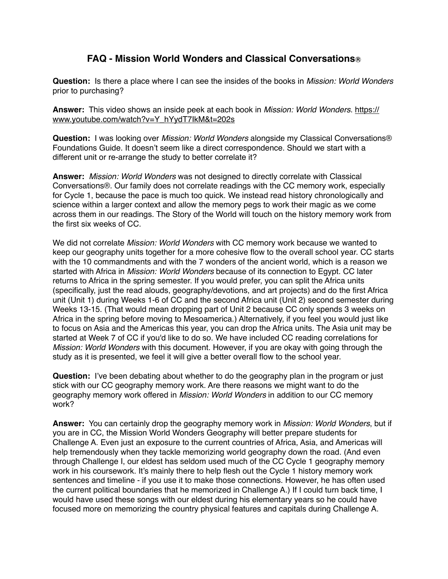## **FAQ - Mission World Wonders and Classical Conversations**Ⓡ

**Question:** Is there a place where I can see the insides of the books in *Mission: World Wonders* prior to purchasing?

**Answer:** This video shows an inside peek at each book in *Mission: World Wonders*. https:// [www.youtube.com/watch?v=Y\\_hYydT7IkM&t=202s](https://www.youtube.com/watch?v=Y_hYydT7IkM&t=202s)

**Question:** I was looking over *Mission: World Wonders* alongside my Classical Conversations® Foundations Guide. It doesn't seem like a direct correspondence. Should we start with a different unit or re-arrange the study to better correlate it?

**Answer:** *Mission: World Wonders* was not designed to directly correlate with Classical Conversations®. Our family does not correlate readings with the CC memory work, especially for Cycle 1, because the pace is much too quick. We instead read history chronologically and science within a larger context and allow the memory pegs to work their magic as we come across them in our readings. The Story of the World will touch on the history memory work from the first six weeks of CC.

We did not correlate *Mission: World Wonders* with CC memory work because we wanted to keep our geography units together for a more cohesive flow to the overall school year. CC starts with the 10 commandments and with the 7 wonders of the ancient world, which is a reason we started with Africa in *Mission: World Wonders* because of its connection to Egypt. CC later returns to Africa in the spring semester. If you would prefer, you can split the Africa units (specifically, just the read alouds, geography/devotions, and art projects) and do the first Africa unit (Unit 1) during Weeks 1-6 of CC and the second Africa unit (Unit 2) second semester during Weeks 13-15. (That would mean dropping part of Unit 2 because CC only spends 3 weeks on Africa in the spring before moving to Mesoamerica.) Alternatively, if you feel you would just like to focus on Asia and the Americas this year, you can drop the Africa units. The Asia unit may be started at Week 7 of CC if you'd like to do so. We have included CC reading correlations for *Mission: World Wonders* with this document. However, if you are okay with going through the study as it is presented, we feel it will give a better overall flow to the school year.

**Question:** I've been debating about whether to do the geography plan in the program or just stick with our CC geography memory work. Are there reasons we might want to do the geography memory work offered in *Mission: World Wonders* in addition to our CC memory work?

**Answer:** You can certainly drop the geography memory work in *Mission: World Wonders*, but if you are in CC, the Mission World Wonders Geography will better prepare students for Challenge A. Even just an exposure to the current countries of Africa, Asia, and Americas will help tremendously when they tackle memorizing world geography down the road. (And even through Challenge I, our eldest has seldom used much of the CC Cycle 1 geography memory work in his coursework. It's mainly there to help flesh out the Cycle 1 history memory work sentences and timeline - if you use it to make those connections. However, he has often used the current political boundaries that he memorized in Challenge A.) If I could turn back time, I would have used these songs with our eldest during his elementary years so he could have focused more on memorizing the country physical features and capitals during Challenge A.